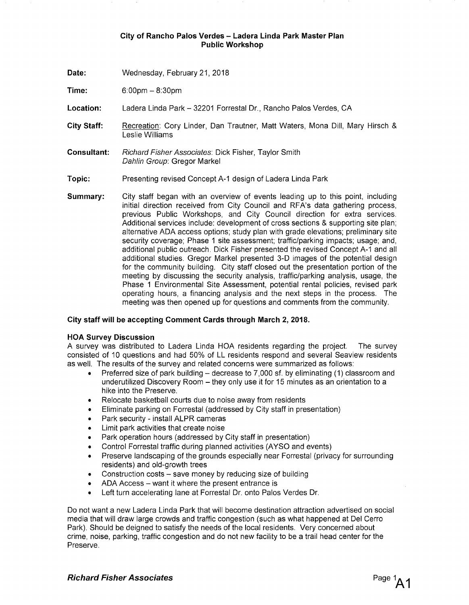Date: Wednesday, February 21, 2018

**Time:** 6:00pm - 8:30pm

**Location:** Ladera Linda Park - 32201 Forrestal Dr., Rancho Palos Verdes, CA

- **City Staff:** Recreation: Cory Linder, Dan Trautner, Matt Waters, Mona Dill, Mary Hirsch & Leslie Williams
- **Consultant:** Richard Fisher Associates: Dick Fisher, Taylor Smith Dahlin Group: Gregor Markel
- **Topic:** Presenting revised Concept A-1 design of Ladera Linda Park
- **Summary:** City staff began with an overview of events leading up to this point, including initial direction received from City Council and RFA's data gathering process, previous Public Workshops, and City Council direction for extra services. Additional services include: development of cross sections & supporting site plan; alternative ADA access options; study plan with grade elevations; preliminary site security coverage; Phase 1 site assessment; traffic/parking impacts; usage; and, additional public outreach. Dick Fisher presented the revised Concept A-1 and all additional studies. Gregor Markel presented 3-D images of the potential design for the community building. City staff closed out the presentation portion of the meeting by discussing the security analysis, traffic/parking analysis, usage, the Phase 1 Environmental Site Assessment, potential rental policies, revised park operating hours, a financing analysis and the next steps in the process. The meeting was then opened up for questions and comments from the community.

#### **City staff will be accepting Comment Cards through March 2, 2018.**

#### **HOA Survey Discussion**

A survey was distributed to Ladera Linda HOA residents regarding the project. The survey consisted of 10 questions and had 50% of LL residents respond and several Seaview residents as well. The results of the survey and related concerns were summarized as follows:

- Preferred size of park building decrease to 7,000 sf. by eliminating (1) classroom and underutilized Discovery Room - they only use it for 15 minutes as an orientation to a hike into the Preserve.
- Relocate basketball courts due to noise away from residents
- Eliminate parking on Forrestal (addressed by City staff in presentation)
- Park security install ALPR cameras
- Limit park activities that create noise
- Park operation hours (addressed by City staff in presentation)
- Control Forrestal traffic during planned activities (AYSO and events)
- Preserve landscaping of the grounds especially near Forrestal (privacy for surrounding residents) and old-growth trees
- Construction costs  $-$  save money by reducing size of building
- ADA Access want it where the present entrance is
- Left turn accelerating lane at Forrestal Dr. onto Palos Verdes Dr.

Do not want a new Ladera Linda Park that will become destination attraction advertised on social media that will draw large crowds and traffic congestion (such as what happened at Del Cerro Park). Should be deigned to satisfy the needs of the local residents. Very concerned about crime, noise, parking, traffic congestion and do not new facility to be a trail head center for the Preserve.

**Richard Fisher Associates**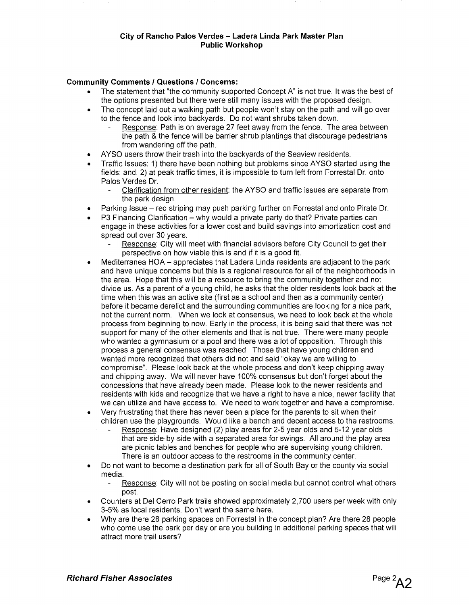# **Community Comments I Questions I Concerns:**

- The statement that "the community supported Concept A" is not true. It was the best of the options presented but there were still many issues with the proposed design.
- The concept laid out a walking path but people won't stay on the path and will go over to the fence and look into backyards. Do not want shrubs taken down.
	- Response: Path is on average 27 feet away from the fence. The area between the path & the fence will be barrier shrub plantings that discourage pedestrians from wandering off the path.
- AYSO users throw their trash into the backyards of the Seaview residents.
- Traffic Issues: 1) there have been nothing but problems since AYSO started using the fields; and, 2) at peak traffic times, it is impossible to turn left from Forrestal Dr. onto Palos Verdes Dr.
	- Clarification from other resident: the A YSO and traffic issues are separate from the park design.
- Parking Issue red striping may push parking further on Forrestal and onto Pirate Dr.
- P3 Financing Clarification why would a private party do that? Private parties can engage in these activities for a lower cost and build savings into amortization cost and spread out over 30 years.
	- Response: City will meet with financial advisors before City Council to get their perspective on how viable this is and if it is a good fit.
- Mediterranea HOA appreciates that Ladera Linda residents are adjacent to the park and have unique concerns but this is a regional resource for all of the neighborhoods in the area. Hope that this will be a resource to bring the community together and not divide us. As a parent of a young child, he asks that the older residents look back at the time when this was an active site (first as a school and then as a community center) before it became derelict and the surrounding communities are looking for a nice park, not the current norm. When we look at consensus, we need to look back at the whole process from beginning to now. Early in the process, it is being said that there was not support for many of the other elements and that is not true. There were many people who wanted a gymnasium or a pool and there was a lot of opposition. Through this process a general consensus was reached. Those that have young children and wanted more recognized that others did not and said "okay we are willing to compromise". Please look back at the whole process and don't keep chipping away and chipping away. We will never have 100% consensus but don't forget about the concessions that have already been made. Please look to the newer residents and residents with kids and recognize that we have a right to have a nice, newer facility that we can utilize and have access to. We need to work together and have a compromise.
- Very frustrating that there has never been a place for the parents to sit when their children use the playgrounds. Would like a bench and decent access to the restrooms.
	- Response: Have designed (2) play areas for 2-5 year olds and 5-12 year olds that are side-by-side with a separated area for swings. All around the play area are picnic tables and benches for people who are supervising young children. There is an outdoor access to the restrooms in the community center.
- Do not want to become a destination park for all of South Bay or the county via social media.
	- Response: City will not be posting on social media but cannot control what others post.
- Counters at Del Cerro Park trails showed approximately 2, 700 users per week with only 3-5% as local residents. Don't want the same here.
- Why are there 28 parking spaces on Forrestal in the concept plan? Are there 28 people who come use the park per day or are you building in additional parking spaces that will attract more trail users?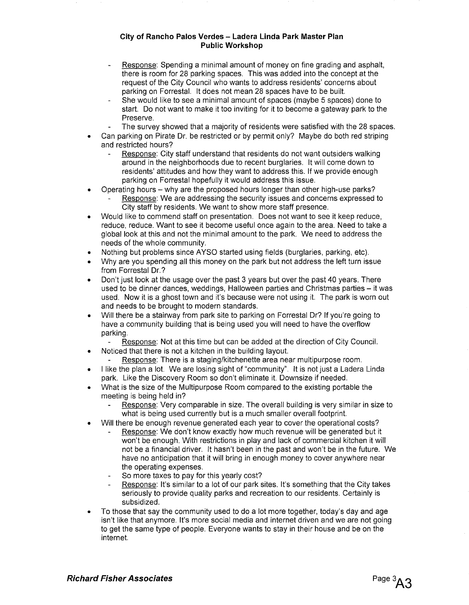- Response: Spending a minimal amount of money on fine grading and asphalt, there is room for 28 parking spaces. This was added into the concept at the request of the City Council who wants to address residents' concerns about parking on Forrestal. It does not mean 28 spaces have to be built.
- She would like to see a minimal amount of spaces (maybe 5 spaces) done to start. Do not want to make it too inviting for it to become a gateway park to the Preserve.
- The survey showed that a majority of residents were satisfied with the 28 spaces.
- Can parking on Pirate Dr. be restricted or by permit only? Maybe do both red striping and restricted hours?
	- Response: City staff understand that residents do not want outsiders walking around in the neighborhoods due to recent burglaries. It will come down to residents' attitudes and how they want to address this. If we provide enough parking on Forrestal hopefully it would address this issue.
- Operating hours why are the proposed hours longer than other high-use parks? Response: We are addressing the security issues and concerns expressed to City staff by residents. We want to show more staff presence.
- Would like to commend staff on presentation. Does not want to see it keep reduce, reduce, reduce. Want to see it become useful once again to the area. Need to take a global look at this and not the minimal amount to the park. We need to address the needs of the whole community.
- Nothing but problems since AYSO started using fields (burglaries, parking, etc).
- Why are you spending all this money on the park but not address the left turn issue from Forrestal Dr.?
- Don't just look at the usage over the past 3 years but over the past 40 years. There used to be dinner dances, weddings, Halloween parties and Christmas parties – it was used. Now it is a ghost town and it's because were not using it. The park is worn out and needs to be brought to modern standards.
- Will there be a stairway from park site to parking on Forrestal Dr? If you're going to have a community building that is being used you will need to have the overflow parking.
	- Response: Not at this time but can be added at the direction of City Council.
- Noticed that there is not a kitchen in the building layout.
- Response: There is a staging/kitchenette area near multipurpose room.
- I like the plan a lot. We are losing sight of "community". It is not just a Ladera Linda park. Like the Discovery Room so don't eliminate it. Downsize if needed.
- What is the size of the Multipurpose Room compared to the existing portable the meeting is being held in?
	- Response: Very comparable in size. The overall building is very similar in size to what is being used currently but is a much smaller overall footprint.
- Will there be enough revenue generated each year to cover the operational costs?
	- Response: We don't know exactly how much revenue will be generated but it won't be enough. With restrictions in play and lack of commercial kitchen it will not be a financial driver. It hasn't been in the past and won't be in the future. We have no anticipation that it will bring in enough money to cover anywhere near the operating expenses.
	- So more taxes to pay for this yearly cost?
	- Response: It's similar to a lot of our park sites. It's something that the City takes seriously to provide quality parks and recreation to our residents. Certainly is subsidized.
- To those that say the community used to do a lot more together, today's day and age isn't like that anymore. It's more social media and internet driven and we are not going to get the same type of people. Everyone wants to stay in their house and be on the internet.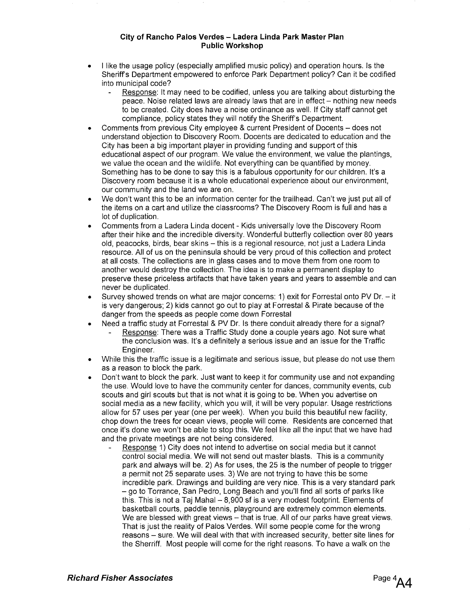- I like the usage policy (especially amplified music policy) and operation hours. Is the Sheriff's Department empowered to enforce Park Department policy? Can it be codified into municipal code?
	- Response: It may need to be codified, unless you are talking about disturbing the peace. Noise related laws are already laws that are in effect – nothing new needs to be created. City does have a noise ordinance as well. If City staff cannot get compliance, policy states they will notify the Sheriff's Department.
- Comments from previous City employee & current President of Docents does not understand objection to Discovery Room. Docents are dedicated to education and the City has been a big important player in providing funding and support of this educational aspect of our program. We value the environment, we value the plantings, we value the ocean and the wildlife. Not everything can be quantified by money. Something has to be done to say this is a fabulous opportunity for our children. It's a Discovery room because it is a whole educational experience about our environment, our community and the land we are on.
- We don't want this to be an information center for the trailhead. Can't we just put all of the items on a cart and utilize the classrooms? The Discovery Room is full and has a lot of duplication.
- Comments from a Ladera Linda docent Kids universally love the Discovery Room after their hike and the incredible diversity. Wonderful butterfly collection over 80 years old, peacocks, birds, bear skins - this is a regional resource, not just a Ladera Linda resource. All of us on the peninsula should be very proud of this collection and protect at all costs. The collections are in glass cases and to move them from one room to another would destroy the collection. The idea is to make a permanent display to preserve these priceless artifacts that have taken years and years to assemble and can never be duplicated.
- Survey showed trends on what are major concerns: 1) exit for Forrestal onto PV Dr. it is very dangerous; 2) kids cannot go out to play at Forrestal & Pirate because of the danger from the speeds as people come down Forrestal
	- Need a traffic study at Forrestal & PV Dr. Is there conduit already there for a signal? Response: There was a Traffic Study done a couple years ago. Not sure what the conclusion was. It's a definitely a serious issue and an issue for the Traffic Engineer.
- While this the traffic issue is a legitimate and serious issue, but please do not use them as a reason to block the park.
- Don't want to block the park. Just want to keep it for community use and not expanding the use. Would love to have the community center for dances, community events, cub scouts and girl scouts but that is not what it is going to be. When you advertise on social media as a new facility, which you will, it will be very popular. Usage restrictions allow for 57 uses per year (one per week). When you build this beautiful new facility, chop down the trees for ocean views, people will come. Residents are concerned that once it's done we won't be able to stop this. We feel like all the input that we have had and the private meetings are not being considered.
	- Response 1) City does not intend to advertise on social media but it cannot control social media. We will not send out master blasts. This is a community park and always will be. 2) As for uses, the 25 is the number of people to trigger a permit not 25 separate uses. 3) We are not trying to have this be some incredible park. Drawings and building are very nice. This is a very standard park - go to Torrance, San Pedro, Long Beach and you'll find all sorts of parks like this. This is not a Taj Mahal  $-8,900$  sf is a very modest footprint. Elements of basketball courts, paddle tennis, playground are extremely common elements. We are blessed with great views – that is true. All of our parks have great views. That is just the reality of Palos Verdes. Will some people come for the wrong reasons – sure. We will deal with that with increased security, better site lines for the Sherriff. Most people will come for the right reasons. To have a walk on the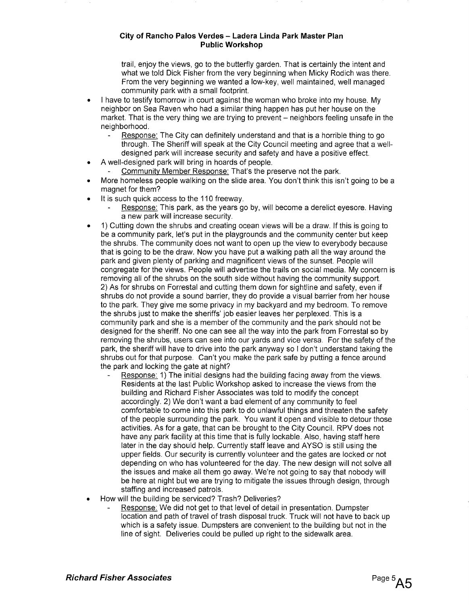trail, enjoy the views, go to the butterfly garden. That is certainly the intent and what we told Dick Fisher from the very beginning when Micky Rodich was there. From the very beginning we wanted a low-key, well maintained, well managed community park with a small footprint.

- I have to testify tomorrow in court against the woman who broke into my house. My neighbor on Sea Raven who had a similar thing happen has put her house on the market. That is the very thing we are trying to prevent – neighbors feeling unsafe in the neighborhood.
	- Response: The City can definitely understand and that is a horrible thing to go through. The Sheriff will speak at the City Council meeting and agree that a welldesigned park will increase security and safety and have a positive effect.
- A well-designed park will bring in hoards of people.
	- Community Member Response: That's the preserve not the park.
- More homeless people walking on the slide area. You don't think this isn't going to be a magnet for them?
- It is such quick access to the 110 freeway.
	- Response: This park, as the years go by, will become a derelict eyesore. Having a new park will increase security.
- 1) Cutting down the shrubs and creating ocean views will be a draw. If this is going to be a community park, let's put in the playgrounds and the community center but keep the shrubs. The community does not want to open up the view to everybody because that is going to be the draw. Now you have put a walking path all the way around the park and given plenty of parking and magnificent views of the sunset. People will congregate for the views. People will advertise the trails on social media. My concern is removing all of the shrubs on the south side without having the community support. 2) As for shrubs on Forrestal and cutting them down for sightline and safety, even if shrubs do not provide a sound barrier, they do provide a visual barrier from her house to the park. They give me some privacy in my backyard and my bedroom. To remove the shrubs just to make the sheriffs' job easier leaves her perplexed. This is a community park and she is a member of the community and the park should not be designed for the sheriff. No one can see all the way into the park from Forrestal so by removing the shrubs, users can see into our yards and vice versa. For the safety of the park, the sheriff will have to drive into the park anyway so I don't understand taking the shrubs out for that purpose. Can't you make the park safe by putting a fence around the park and locking the gate at night?
	- Response: 1) The initial designs had the building facing away from the views. Residents at the last Public Workshop asked to increase the views from the building and Richard Fisher Associates was told to modify the concept accordingly. 2) We don't want a bad element of any community to feel comfortable to come into this park to do unlawful things and threaten the safety of the people surrounding the park. You want it open and visible to detour those activities. As for a gate, that can be brought to the City Council. RPV does not have any park facility at this time that is fully lockable. Also, having staff here later in the day should help. Currently staff leave and AYSO is still using the upper fields. Our security is currently volunteer and the gates are locked or not depending on who has volunteered for the day. The new design will not solve all the issues and make all them go away. We're not going to say that nobody will be here at night but we are trying to mitigate the issues through design, through staffing and increased patrols.
- How will the building be serviced? Trash? Deliveries?
	- Response: We did not get to that level of detail in presentation. Dumpster location and path of travel of trash disposal truck. Truck will not have to back up which is a safety issue. Dumpsters are convenient to the building but not in the line of sight. Deliveries could be pulled up right to the sidewalk area.